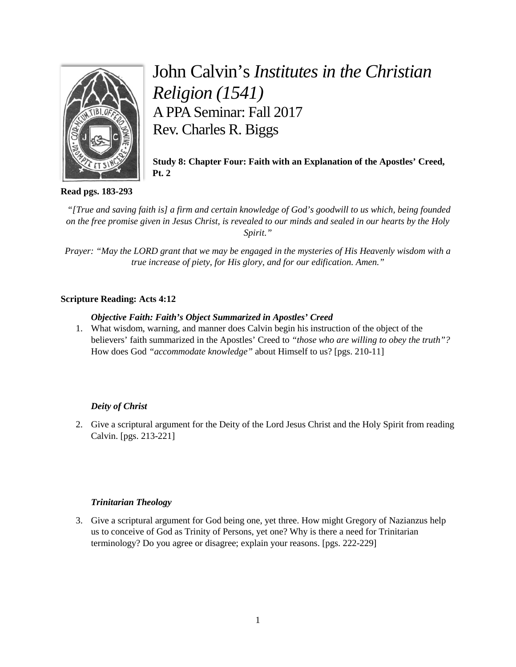

# John Calvin's *Institutes in the Christian Religion (1541)* A PPA Seminar: Fall 2017 Rev. Charles R. Biggs

**Study 8: Chapter Four: Faith with an Explanation of the Apostles' Creed, Pt. 2**

# **Read pgs. 183-293**

*"[True and saving faith is] a firm and certain knowledge of God's goodwill to us which, being founded on the free promise given in Jesus Christ, is revealed to our minds and sealed in our hearts by the Holy Spirit."*

*Prayer: "May the LORD grant that we may be engaged in the mysteries of His Heavenly wisdom with a true increase of piety, for His glory, and for our edification. Amen."*

# **Scripture Reading: Acts 4:12**

# *Objective Faith: Faith's Object Summarized in Apostles' Creed*

1. What wisdom, warning, and manner does Calvin begin his instruction of the object of the believers' faith summarized in the Apostles' Creed to *"those who are willing to obey the truth"?* How does God *"accommodate knowledge"* about Himself to us? [pgs. 210-11]

# *Deity of Christ*

2. Give a scriptural argument for the Deity of the Lord Jesus Christ and the Holy Spirit from reading Calvin. [pgs. 213-221]

# *Trinitarian Theology*

3. Give a scriptural argument for God being one, yet three. How might Gregory of Nazianzus help us to conceive of God as Trinity of Persons, yet one? Why is there a need for Trinitarian terminology? Do you agree or disagree; explain your reasons. [pgs. 222-229]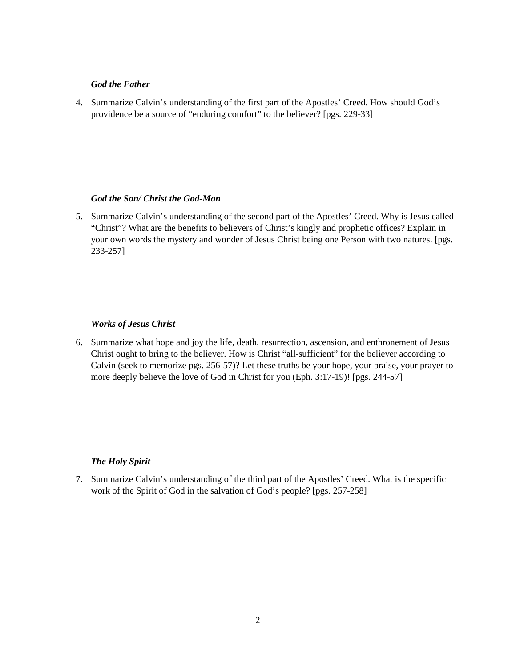### *God the Father*

4. Summarize Calvin's understanding of the first part of the Apostles' Creed. How should God's providence be a source of "enduring comfort" to the believer? [pgs. 229-33]

#### *God the Son/ Christ the God-Man*

5. Summarize Calvin's understanding of the second part of the Apostles' Creed. Why is Jesus called "Christ"? What are the benefits to believers of Christ's kingly and prophetic offices? Explain in your own words the mystery and wonder of Jesus Christ being one Person with two natures. [pgs. 233-257]

## *Works of Jesus Christ*

6. Summarize what hope and joy the life, death, resurrection, ascension, and enthronement of Jesus Christ ought to bring to the believer. How is Christ "all-sufficient" for the believer according to Calvin (seek to memorize pgs. 256-57)? Let these truths be your hope, your praise, your prayer to more deeply believe the love of God in Christ for you (Eph. 3:17-19)! [pgs. 244-57]

## *The Holy Spirit*

7. Summarize Calvin's understanding of the third part of the Apostles' Creed. What is the specific work of the Spirit of God in the salvation of God's people? [pgs. 257-258]